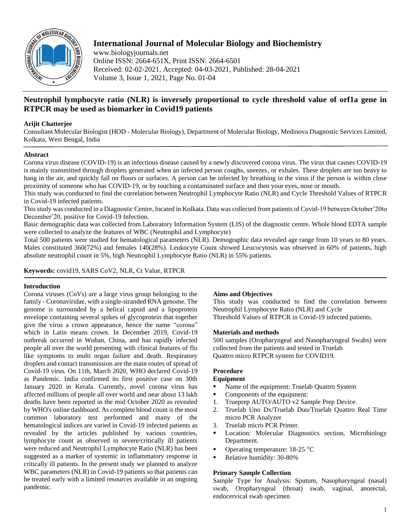

# **International Journal of Molecular Biology and Biochemistry**

www.biologyjournals.net Online ISSN: 2664-651X, Print ISSN: 2664-6501 Received: 02-02-2021, Accepted: 04-03-2021, Published: 28-04-2021 Volume 3, Issue 1, 2021, Page No. 01-04

# **Neutrophil lymphocyte ratio (NLR) is inversely proportional to cycle threshold value of orf1a gene in RTPCR may be used as biomarker in Covid19 patients**

## **Arijit Chatterjee**

Consultant Molecular Biologist (HOD - Molecular Biology), Department of Molecular Biology, Medinova Diagnostic Services Limited, Kolkata, West Bengal, India

### **Abstract**

Corona virus disease (COVID-19) is an infectious disease caused by a newly discovered corona virus. The virus that causes COVID-19 is mainly transmitted through droplets generated when an infected person coughs, sneezes, or exhales. These droplets are too heavy to hang in the air, and quickly fall on floors or surfaces. A person can be infected by breathing in the virus if the person is within close proximity of someone who has COVID-19, or by touching a contaminated surface and then your eyes, nose or mouth.

This study was conducted to find the correlation between Neutrophil Lymphocyte Ratio (NLR) and Cycle Threshold Values of RTPCR in Covid-19 infected patients.

This study was conducted in a Diagnostic Centre, located in Kolkata. Data was collected from patients of Covid-19 between October'20to December'20, positive for Covid-19 Infection.

Basic demographic data was collected from Laboratory Information System (LIS) of the diagnostic centre. Whole blood EDTA sample were collected to analyze the features of WBC (Neutrophil and Lymphocyte)

Total 500 patients were studied for hematological parameters (NLR). Demographic data revealed age range from 10 years to 80 years. Males constituted 360(72%) and females 140(28%). Leukocyte Count showed Leucocytosis was observed in 60% of patients, high absolute neutrophil count in 5%, high Neutrophil Lymphocyte Ratio (NLR) in 55% patients.

### **Keywords:** covid19, SARS CoV2, NLR, Ct Value, RTPCR

### **Introduction**

Corona viruses (CoVs) are a large virus group belonging to the family - Coronaviridae, with a single-stranded RNA genome. The genome is surrounded by a helical capsid and a lipoprotein envelope containing several spikes of glycoprotein that together give the virus a crown appearance, hence the name "corona" which in Latin means crown. In December 2019, Covid-19 outbreak occurred in Wuhan, China, and has rapidly infected people all over the world presenting with clinical features of flu like symptoms to multi organ failure and death. Respiratory droplets and contact transmission are the main routes of spread of Covid-19 virus. On 11th, March 2020, WHO declared Covid-19 as Pandemic. India confirmed its first positive case on 30th January 2020 in Kerala. Currently, novel corona virus has affected millions of people all over world and near about 13 lakh deaths have been reported in the mid October 2020 as revealed by WHO's online dashboard. As complete blood count is the most common laboratory test performed and many of the hematological indices are varied in Covid-19 infected patients as revealed by the articles published by various countries, lymphocyte count as observed in severe/critically ill patients were reduced and Neutrophil Lymphocyte Ratio (NLR) has been suggested as a marker of systemic in inflammatory response in critically ill patients. In the present study we planned to analyze WBC parameters (NLR) in Covid-19 patients so that patients can be treated early with a limited resources available in an ongoing pandemic.

### **Aims and Objectives**

This study was conducted to find the correlation between Neutrophil Lymphocyte Ratio (NLR) and Cycle Threshold Values of RTPCR in Covid-19 infected patients.

#### **Materials and methods**

500 samples (Oropharyngeal and Nasopharyngeal Swabs) were collected from the patients and tested in Truelab Quattro micro RTPCR system for COVID19.

### **Procedure**

## **Equipment**

- Name of the equipment: Truelab Quattro System
- Components of the equipment:
- 1. Trueprep AUTO/AUTO v2 Sample Prep Device.
- 2. Truelab Uno Dx/Truelab Duo/Truelab Quattro Real Time micro PCR Analyzer
- 3. Truelab micro PCR Printer.
- Location: Molecular Diagnostics section, Microbiology Department.
- **•** Operating temperature:  $18-25$  °C
- Relative humidity: 30-80%

### **Primary Sample Collection**

Sample Type for Analysis: Sputum, Nasopharyngeal (nasal) swab, Oropharyngeal (throat) swab, vaginal, anorectal, endocervical swab specimen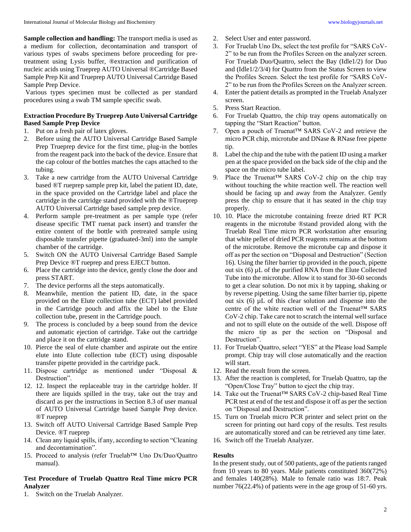**Sample collection and handling:** The transport media is used as a medium for collection, decontamination and transport of various types of swabs specimens before proceeding for pretreatment using Lysis buffer, ®extraction and purification of nucleic acids using Trueprep AUTO Universal ®Cartridge Based Sample Prep Kit and Trueprep AUTO Universal Cartridge Based Sample Prep Device.

Various types specimen must be collected as per standard procedures using a swab TM sample specific swab.

### **Extraction Procedure By Trueprep Auto Universal Cartridge Based Sample Prep Device**

- 1. Put on a fresh pair of latex gloves.
- 2. Before using the AUTO Universal Cartridge Based Sample Prep Trueprep device for the first time, plug-in the bottles from the reagent pack into the back of the device. Ensure that the cap colour of the bottles matches the caps attached to the tubing.
- 3. Take a new cartridge from the AUTO Universal Cartridge based ®T rueprep sample prep kit, label the patient ID, date, in the space provided on the Cartridge label and place the cartridge in the cartridge stand provided with the ®Trueprep AUTO Universal Cartridge based sample prep device.
- 4. Perform sample pre-treatment as per sample type (refer disease specific TMT ruenat pack insert) and transfer the entire content of the bottle with pretreated sample using disposable transfer pipette (graduated-3ml) into the sample chamber of the cartridge.
- 5. Switch ON the AUTO Universal Cartridge Based Sample Prep Device ®T rueprep and press EJECT button.
- 6. Place the cartridge into the device, gently close the door and press START.
- 7. The device performs all the steps automatically.
- 8. Meanwhile, mention the patient ID, date, in the space provided on the Elute collection tube (ECT) label provided in the Cartridge pouch and affix the label to the Elute collection tube, present in the Cartridge pouch.
- 9. The process is concluded by a beep sound from the device and automatic ejection of cartridge. Take out the cartridge and place it on the cartridge stand.
- 10. Pierce the seal of elute chamber and aspirate out the entire elute into Elute collection tube (ECT) using disposable transfer pipette provided in the cartridge pack.
- 11. Dispose cartridge as mentioned under "Disposal & Destruction".
- 12. 12. Inspect the replaceable tray in the cartridge holder. If there are liquids spilled in the tray, take out the tray and discard as per the instructions in Section 8.3 of user manual of AUTO Universal Cartridge based Sample Prep device. ®T rueprep
- 13. Switch off AUTO Universal Cartridge Based Sample Prep Device. ®T rueprep
- 14. Clean any liquid spills, if any, according to section "Cleaning and decontamination".
- 15. Proceed to analysis (refer Truelab™ Uno Dx/Duo/Quattro manual).

# **Test Procedure of Truelab Quattro Real Time micro PCR Analyzer**

1. Switch on the Truelab Analyzer.

- 2. Select User and enter password.
- 3. For Truelab Uno Dx, select the test profile for "SARS CoV-2" to be run from the Profiles Screen on the analyzer screen. For Truelab Duo/Quattro, select the Bay (Idle1/2) for Duo and (Idle1/2/3/4) for Quattro from the Status Screen to view the Profiles Screen. Select the test profile for "SARS CoV-2" to be run from the Profiles Screen on the Analyzer screen.
- 4. Enter the patient details as prompted in the Truelab Analyzer screen.
- 5. Press Start Reaction.
- 6. For Truelab Quattro, the chip tray opens automatically on tapping the "Start Reaction" button.
- 7. Open a pouch of Truenat™ SARS CoV-2 and retrieve the micro PCR chip, microtube and DNase & RNase free pipette tip.
- 8. Label the chip and the tube with the patient ID using a marker pen at the space provided on the back side of the chip and the space on the micro tube label.
- 9. Place the Truenat™ SARS CoV-2 chip on the chip tray without touching the white reaction well. The reaction well should be facing up and away from the Analyzer. Gently press the chip to ensure that it has seated in the chip tray properly.
- 10. 10. Place the microtube containing freeze dried RT PCR reagents in the microtube ®stand provided along with the Truelab Real Time micro PCR workstation after ensuring that white pellet of dried PCR reagents remains at the bottom of the microtube. Remove the microtube cap and dispose it off as per the section on "Disposal and Destruction" (Section 16). Using the filter barrier tip provided in the pouch, pipette out six (6) µL of the purified RNA from the Elute Collected Tube into the microtube. Allow it to stand for 30-60 seconds to get a clear solution. Do not mix it by tapping, shaking or by reverse pipetting. Using the same filter barrier tip, pipette out six (6) µL of this clear solution and dispense into the centre of the white reaction well of the Truenat™ SARS CoV-2 chip. Take care not to scratch the internal well surface and not to spill elute on the outside of the well. Dispose off the micro tip as per the section on "Disposal and Destruction".
- 11. For Truelab Quattro, select "YES" at the Please load Sample prompt. Chip tray will close automatically and the reaction will start.
- 12. Read the result from the screen.
- 13. After the reaction is completed, for Truelab Quattro, tap the "Open/Close Tray" button to eject the chip tray.
- 14. Take out the Truenat™ SARS CoV-2 chip-based Real Time PCR test at end of the test and dispose it off as per the section on "Disposal and Destruction".
- 15. Turn on Truelab micro PCR printer and select print on the screen for printing out hard copy of the results. Test results are automatically stored and can be retrieved any time later.
- 16. Switch off the Truelab Analyzer.

#### **Results**

In the present study, out of 500 patients, age of the patients ranged from 10 years to 80 years. Male patients constituted 360(72%) and females 140(28%). Male to female ratio was 18:7. Peak number 76(22.4%) of patients were in the age group of 51-60 yrs.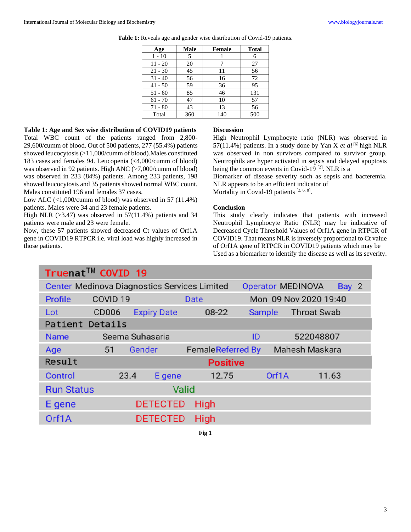| Age       | Male | Female | <b>Total</b> |
|-----------|------|--------|--------------|
| $1 - 10$  | 5    |        | 6            |
| $11 - 20$ | 20   |        | 27           |
| $21 - 30$ | 45   | 11     | 56           |
| $31 - 40$ | 56   | 16     | 72           |
| $41 - 50$ | 59   | 36     | 95           |
| $51 - 60$ | 85   | 46     | 131          |
| $61 - 70$ | 47   | 10     | 57           |
| $71 - 80$ | 43   | 13     | 56           |
| Total     | 360  | 140    | 500          |

**Table 1:** Reveals age and gender wise distribution of Covid-19 patients.

# **Table 1: Age and Sex wise distribution of COVID19 patients**

Total WBC count of the patients ranged from 2,800- 29,600/cumm of blood. Out of 500 patients, 277 (55.4%) patients showed leucocytosis (>11,000/cumm of blood).Males constituted 183 cases and females 94. Leucopenia (<4,000/cumm of blood) was observed in 92 patients. High ANC (>7,000/cumm of blood) was observed in 233 (84%) patients. Among 233 patients, 198 showed leucocytosis and 35 patients showed normal WBC count. Males constituted 196 and females 37 cases.

Low ALC (<1,000/cumm of blood) was observed in 57 (11.4%) patients. Males were 34 and 23 female patients.

High NLR  $(>3.47)$  was observed in 57(11.4%) patients and 34 patients were male and 23 were female.

Now, these 57 patients showed decreased Ct values of Orf1A gene in COVID19 RTPCR i.e. viral load was highly increased in those patients.

#### **Discussion**

High Neutrophil Lymphocyte ratio (NLR) was observed in 57(11.4%) patients. In a study done by Yan X *et al* [6] high NLR was observed in non survivors compared to survivor group. Neutrophils are hyper activated in sepsis and delayed apoptosis being the common events in Covid-19<sup>[2]</sup>. NLR is a

Biomarker of disease severity such as sepsis and bacteremia. NLR appears to be an efficient indicator of

Mortality in Covid-19 patients  $[2, 6, 8]$ .

#### **Conclusion**

This study clearly indicates that patients with increased Neutrophil Lymphocyte Ratio (NLR) may be indicative of Decreased Cycle Threshold Values of Orf1A gene in RTPCR of COVID19. That means NLR is inversely proportional to Ct value of Orf1A gene of RTPCR in COVID19 patients which may be Used as a biomarker to identify the disease as well as its severity.

| Truenat™ COVID 19                                                                 |                     |                    |                          |               |                       |  |  |  |  |  |
|-----------------------------------------------------------------------------------|---------------------|--------------------|--------------------------|---------------|-----------------------|--|--|--|--|--|
| Center Medinova Diagnostics Services Limited<br><b>Operator MEDINOVA</b><br>Bay 2 |                     |                    |                          |               |                       |  |  |  |  |  |
| Profile                                                                           | COVID <sub>19</sub> |                    | <b>Date</b>              |               | Mon 09 Nov 2020 19:40 |  |  |  |  |  |
| Lot                                                                               | <b>CD006</b>        | <b>Expiry Date</b> | 08-22                    | <b>Sample</b> | <b>Throat Swab</b>    |  |  |  |  |  |
| Patient Details                                                                   |                     |                    |                          |               |                       |  |  |  |  |  |
| <b>Name</b>                                                                       | Seema Suhasaria     |                    |                          | ID            | 522048807             |  |  |  |  |  |
| Age                                                                               | 51                  | Gender             | <b>FemaleReferred By</b> |               | Mahesh Maskara        |  |  |  |  |  |
| Result<br><b>Positive</b>                                                         |                     |                    |                          |               |                       |  |  |  |  |  |
| Control                                                                           | 23.4                | E gene             | 12.75                    | Orf1A         | 11.63                 |  |  |  |  |  |
| Valid<br><b>Run Status</b>                                                        |                     |                    |                          |               |                       |  |  |  |  |  |
| E gene                                                                            |                     | <b>DETECTED</b>    |                          |               |                       |  |  |  |  |  |
| Orf1A                                                                             |                     | <b>DETECTED</b>    |                          |               |                       |  |  |  |  |  |